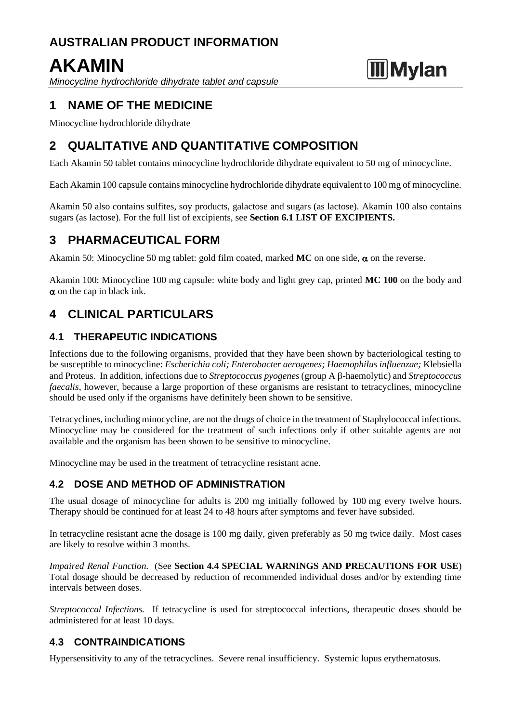# **AUSTRALIAN PRODUCT INFORMATION**

# **AKAMIN**

*Minocycline hydrochloride dihydrate tablet and capsule*

# **Mylan**

# **1 NAME OF THE MEDICINE**

Minocycline hydrochloride dihydrate

# **2 QUALITATIVE AND QUANTITATIVE COMPOSITION**

Each Akamin 50 tablet contains minocycline hydrochloride dihydrate equivalent to 50 mg of minocycline.

Each Akamin 100 capsule contains minocycline hydrochloride dihydrate equivalent to 100 mg of minocycline.

Akamin 50 also contains sulfites, soy products, galactose and sugars (as lactose). Akamin 100 also contains sugars (as lactose). For the full list of excipients, see **Section 6.1 LIST OF EXCIPIENTS.**

# **3 PHARMACEUTICAL FORM**

Akamin 50: Minocycline 50 mg tablet: gold film coated, marked  $MC$  on one side,  $\alpha$  on the reverse.

Akamin 100: Minocycline 100 mg capsule: white body and light grey cap, printed **MC 100** on the body and  $\alpha$  on the cap in black ink.

# **4 CLINICAL PARTICULARS**

# **4.1 THERAPEUTIC INDICATIONS**

Infections due to the following organisms, provided that they have been shown by bacteriological testing to be susceptible to minocycline: *Escherichia coli; Enterobacter aerogenes; Haemophilus influenzae;* Klebsiella and Proteus. In addition, infections due to *Streptococcus pyogenes* (group A  $\beta$ -haemolytic) and *Streptococcus faecalis*, however, because a large proportion of these organisms are resistant to tetracyclines, minocycline should be used only if the organisms have definitely been shown to be sensitive.

Tetracyclines, including minocycline, are not the drugs of choice in the treatment of Staphylococcal infections. Minocycline may be considered for the treatment of such infections only if other suitable agents are not available and the organism has been shown to be sensitive to minocycline.

Minocycline may be used in the treatment of tetracycline resistant acne.

# **4.2 DOSE AND METHOD OF ADMINISTRATION**

The usual dosage of minocycline for adults is 200 mg initially followed by 100 mg every twelve hours. Therapy should be continued for at least 24 to 48 hours after symptoms and fever have subsided.

In tetracycline resistant acne the dosage is 100 mg daily, given preferably as 50 mg twice daily. Most cases are likely to resolve within 3 months.

*Impaired Renal Function.* (See **Section 4.4 SPECIAL WARNINGS AND PRECAUTIONS FOR USE**) Total dosage should be decreased by reduction of recommended individual doses and/or by extending time intervals between doses.

*Streptococcal Infections.* If tetracycline is used for streptococcal infections, therapeutic doses should be administered for at least 10 days.

# **4.3 CONTRAINDICATIONS**

Hypersensitivity to any of the tetracyclines. Severe renal insufficiency. Systemic lupus erythematosus.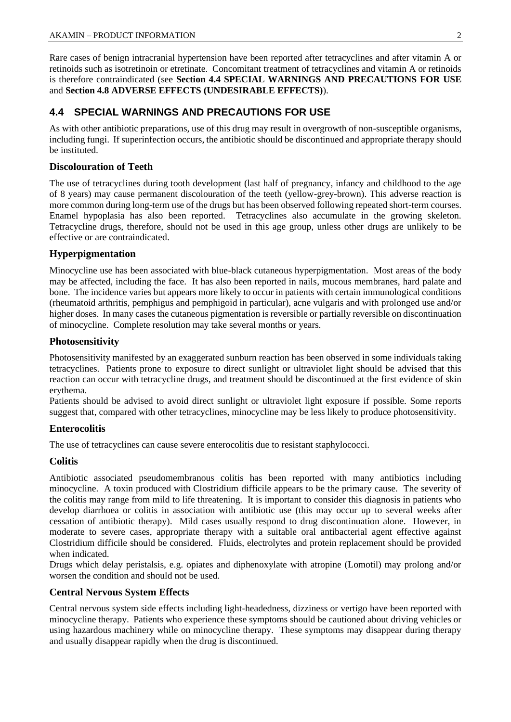Rare cases of benign intracranial hypertension have been reported after tetracyclines and after vitamin A or retinoids such as isotretinoin or etretinate. Concomitant treatment of tetracyclines and vitamin A or retinoids is therefore contraindicated (see **Section 4.4 SPECIAL WARNINGS AND PRECAUTIONS FOR USE**  and **Section 4.8 ADVERSE EFFECTS (UNDESIRABLE EFFECTS)**).

### **4.4 SPECIAL WARNINGS AND PRECAUTIONS FOR USE**

As with other antibiotic preparations, use of this drug may result in overgrowth of non-susceptible organisms, including fungi. If superinfection occurs, the antibiotic should be discontinued and appropriate therapy should be instituted.

#### **Discolouration of Teeth**

The use of tetracyclines during tooth development (last half of pregnancy, infancy and childhood to the age of 8 years) may cause permanent discolouration of the teeth (yellow-grey-brown). This adverse reaction is more common during long-term use of the drugs but has been observed following repeated short-term courses. Enamel hypoplasia has also been reported. Tetracyclines also accumulate in the growing skeleton. Tetracycline drugs, therefore, should not be used in this age group, unless other drugs are unlikely to be effective or are contraindicated.

#### **Hyperpigmentation**

Minocycline use has been associated with blue-black cutaneous hyperpigmentation. Most areas of the body may be affected, including the face. It has also been reported in nails, mucous membranes, hard palate and bone. The incidence varies but appears more likely to occur in patients with certain immunological conditions (rheumatoid arthritis, pemphigus and pemphigoid in particular), acne vulgaris and with prolonged use and/or higher doses. In many cases the cutaneous pigmentation is reversible or partially reversible on discontinuation of minocycline. Complete resolution may take several months or years.

#### **Photosensitivity**

Photosensitivity manifested by an exaggerated sunburn reaction has been observed in some individuals taking tetracyclines. Patients prone to exposure to direct sunlight or ultraviolet light should be advised that this reaction can occur with tetracycline drugs, and treatment should be discontinued at the first evidence of skin erythema.

Patients should be advised to avoid direct sunlight or ultraviolet light exposure if possible. Some reports suggest that, compared with other tetracyclines, minocycline may be less likely to produce photosensitivity.

#### **Enterocolitis**

The use of tetracyclines can cause severe enterocolitis due to resistant staphylococci.

#### **Colitis**

Antibiotic associated pseudomembranous colitis has been reported with many antibiotics including minocycline. A toxin produced with Clostridium difficile appears to be the primary cause. The severity of the colitis may range from mild to life threatening. It is important to consider this diagnosis in patients who develop diarrhoea or colitis in association with antibiotic use (this may occur up to several weeks after cessation of antibiotic therapy). Mild cases usually respond to drug discontinuation alone. However, in moderate to severe cases, appropriate therapy with a suitable oral antibacterial agent effective against Clostridium difficile should be considered. Fluids, electrolytes and protein replacement should be provided when indicated.

Drugs which delay peristalsis, e.g. opiates and diphenoxylate with atropine (Lomotil) may prolong and/or worsen the condition and should not be used.

#### **Central Nervous System Effects**

Central nervous system side effects including light-headedness, dizziness or vertigo have been reported with minocycline therapy. Patients who experience these symptoms should be cautioned about driving vehicles or using hazardous machinery while on minocycline therapy. These symptoms may disappear during therapy and usually disappear rapidly when the drug is discontinued.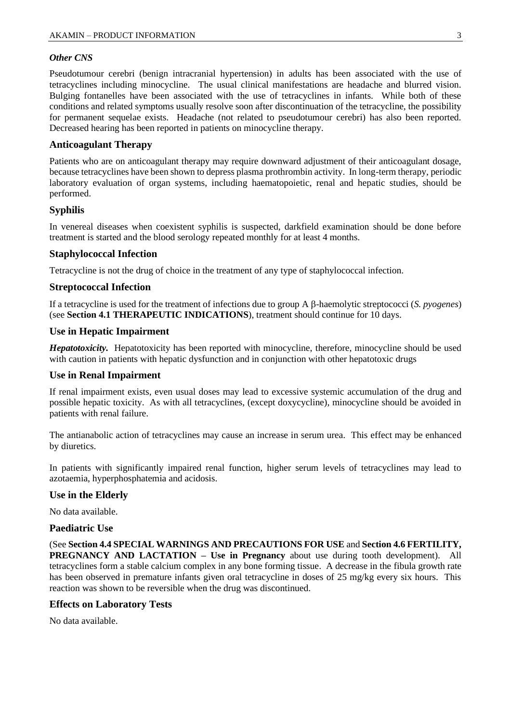#### *Other CNS*

Pseudotumour cerebri (benign intracranial hypertension) in adults has been associated with the use of tetracyclines including minocycline. The usual clinical manifestations are headache and blurred vision. Bulging fontanelles have been associated with the use of tetracyclines in infants. While both of these conditions and related symptoms usually resolve soon after discontinuation of the tetracycline, the possibility for permanent sequelae exists. Headache (not related to pseudotumour cerebri) has also been reported. Decreased hearing has been reported in patients on minocycline therapy.

#### **Anticoagulant Therapy**

Patients who are on anticoagulant therapy may require downward adjustment of their anticoagulant dosage, because tetracyclines have been shown to depress plasma prothrombin activity. In long-term therapy, periodic laboratory evaluation of organ systems, including haematopoietic, renal and hepatic studies, should be performed.

#### **Syphilis**

In venereal diseases when coexistent syphilis is suspected, darkfield examination should be done before treatment is started and the blood serology repeated monthly for at least 4 months.

#### **Staphylococcal Infection**

Tetracycline is not the drug of choice in the treatment of any type of staphylococcal infection.

#### **Streptococcal Infection**

If a tetracycline is used for the treatment of infections due to group A  $\beta$ -haemolytic streptococci (*S. pyogenes*) (see **Section 4.1 THERAPEUTIC INDICATIONS**), treatment should continue for 10 days.

#### **Use in Hepatic Impairment**

*Hepatotoxicity.* Hepatotoxicity has been reported with minocycline, therefore, minocycline should be used with caution in patients with hepatic dysfunction and in conjunction with other hepatotoxic drugs

#### **Use in Renal Impairment**

If renal impairment exists, even usual doses may lead to excessive systemic accumulation of the drug and possible hepatic toxicity. As with all tetracyclines, (except doxycycline), minocycline should be avoided in patients with renal failure.

The antianabolic action of tetracyclines may cause an increase in serum urea. This effect may be enhanced by diuretics.

In patients with significantly impaired renal function, higher serum levels of tetracyclines may lead to azotaemia, hyperphosphatemia and acidosis.

#### **Use in the Elderly**

No data available.

#### **Paediatric Use**

(See **Section 4.4 SPECIAL WARNINGS AND PRECAUTIONS FOR USE** and **Section 4.6 FERTILITY, PREGNANCY AND LACTATION – Use in Pregnancy** about use during tooth development). All tetracyclines form a stable calcium complex in any bone forming tissue. A decrease in the fibula growth rate has been observed in premature infants given oral tetracycline in doses of 25 mg/kg every six hours. This reaction was shown to be reversible when the drug was discontinued.

#### **Effects on Laboratory Tests**

No data available.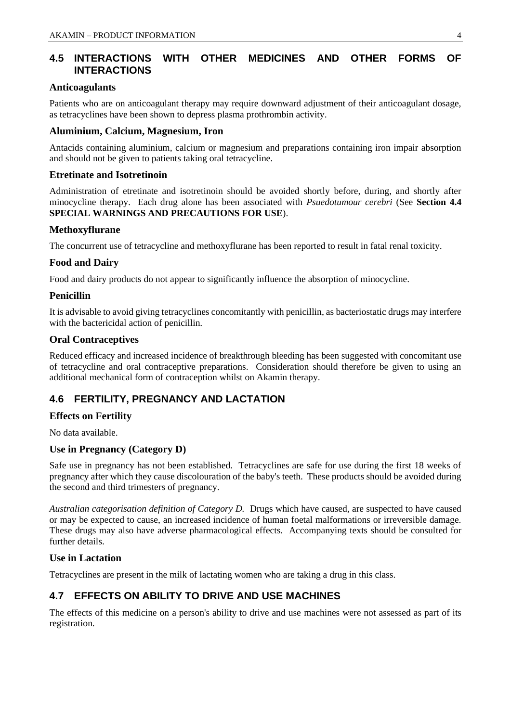# **4.5 INTERACTIONS WITH OTHER MEDICINES AND OTHER FORMS OF INTERACTIONS**

#### **Anticoagulants**

Patients who are on anticoagulant therapy may require downward adjustment of their anticoagulant dosage, as tetracyclines have been shown to depress plasma prothrombin activity.

#### **Aluminium, Calcium, Magnesium, Iron**

Antacids containing aluminium, calcium or magnesium and preparations containing iron impair absorption and should not be given to patients taking oral tetracycline.

#### **Etretinate and Isotretinoin**

Administration of etretinate and isotretinoin should be avoided shortly before, during, and shortly after minocycline therapy. Each drug alone has been associated with *Psuedotumour cerebri* (See **Section 4.4 SPECIAL WARNINGS AND PRECAUTIONS FOR USE**).

#### **Methoxyflurane**

The concurrent use of tetracycline and methoxyflurane has been reported to result in fatal renal toxicity.

#### **Food and Dairy**

Food and dairy products do not appear to significantly influence the absorption of minocycline.

#### **Penicillin**

It is advisable to avoid giving tetracyclines concomitantly with penicillin, as bacteriostatic drugs may interfere with the bactericidal action of penicillin.

#### **Oral Contraceptives**

Reduced efficacy and increased incidence of breakthrough bleeding has been suggested with concomitant use of tetracycline and oral contraceptive preparations. Consideration should therefore be given to using an additional mechanical form of contraception whilst on Akamin therapy.

### **4.6 FERTILITY, PREGNANCY AND LACTATION**

#### **Effects on Fertility**

No data available.

#### **Use in Pregnancy (Category D)**

Safe use in pregnancy has not been established. Tetracyclines are safe for use during the first 18 weeks of pregnancy after which they cause discolouration of the baby's teeth. These products should be avoided during the second and third trimesters of pregnancy.

*Australian categorisation definition of Category D.* Drugs which have caused, are suspected to have caused or may be expected to cause, an increased incidence of human foetal malformations or irreversible damage. These drugs may also have adverse pharmacological effects. Accompanying texts should be consulted for further details.

#### **Use in Lactation**

Tetracyclines are present in the milk of lactating women who are taking a drug in this class.

# **4.7 EFFECTS ON ABILITY TO DRIVE AND USE MACHINES**

The effects of this medicine on a person's ability to drive and use machines were not assessed as part of its registration.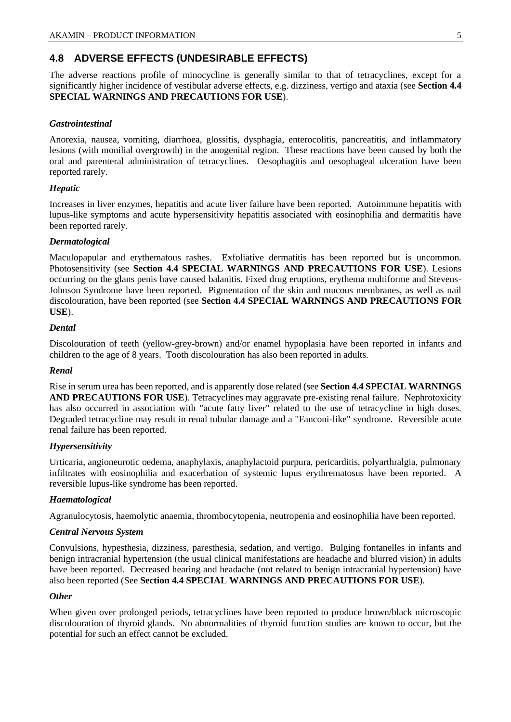# **4.8 ADVERSE EFFECTS (UNDESIRABLE EFFECTS)**

The adverse reactions profile of minocycline is generally similar to that of tetracyclines, except for a significantly higher incidence of vestibular adverse effects, e.g. dizziness, vertigo and ataxia (see **Section 4.4 SPECIAL WARNINGS AND PRECAUTIONS FOR USE**).

#### *Gastrointestinal*

Anorexia, nausea, vomiting, diarrhoea, glossitis, dysphagia, enterocolitis, pancreatitis, and inflammatory lesions (with monilial overgrowth) in the anogenital region. These reactions have been caused by both the oral and parenteral administration of tetracyclines. Oesophagitis and oesophageal ulceration have been reported rarely.

#### *Hepatic*

Increases in liver enzymes, hepatitis and acute liver failure have been reported. Autoimmune hepatitis with lupus-like symptoms and acute hypersensitivity hepatitis associated with eosinophilia and dermatitis have been reported rarely.

#### *Dermatological*

Maculopapular and erythematous rashes. Exfoliative dermatitis has been reported but is uncommon. Photosensitivity (see **Section 4.4 SPECIAL WARNINGS AND PRECAUTIONS FOR USE**). Lesions occurring on the glans penis have caused balanitis. Fixed drug eruptions, erythema multiforme and Stevens-Johnson Syndrome have been reported. Pigmentation of the skin and mucous membranes, as well as nail discolouration, have been reported (see **Section 4.4 SPECIAL WARNINGS AND PRECAUTIONS FOR USE**).

#### *Dental*

Discolouration of teeth (yellow-grey-brown) and/or enamel hypoplasia have been reported in infants and children to the age of 8 years. Tooth discolouration has also been reported in adults.

#### *Renal*

Rise in serum urea has been reported, and is apparently dose related (see **Section 4.4 SPECIAL WARNINGS AND PRECAUTIONS FOR USE**). Tetracyclines may aggravate pre-existing renal failure. Nephrotoxicity has also occurred in association with "acute fatty liver" related to the use of tetracycline in high doses. Degraded tetracycline may result in renal tubular damage and a "Fanconi-like" syndrome. Reversible acute renal failure has been reported.

#### *Hypersensitivity*

Urticaria, angioneurotic oedema, anaphylaxis, anaphylactoid purpura, pericarditis, polyarthralgia, pulmonary infiltrates with eosinophilia and exacerbation of systemic lupus erythrematosus have been reported. A reversible lupus-like syndrome has been reported.

#### *Haematological*

Agranulocytosis, haemolytic anaemia, thrombocytopenia, neutropenia and eosinophilia have been reported.

#### *Central Nervous System*

Convulsions, hypesthesia, dizziness, paresthesia, sedation, and vertigo. Bulging fontanelles in infants and benign intracranial hypertension (the usual clinical manifestations are headache and blurred vision) in adults have been reported. Decreased hearing and headache (not related to benign intracranial hypertension) have also been reported (See **Section 4.4 SPECIAL WARNINGS AND PRECAUTIONS FOR USE**).

#### *Other*

When given over prolonged periods, tetracyclines have been reported to produce brown/black microscopic discolouration of thyroid glands. No abnormalities of thyroid function studies are known to occur, but the potential for such an effect cannot be excluded.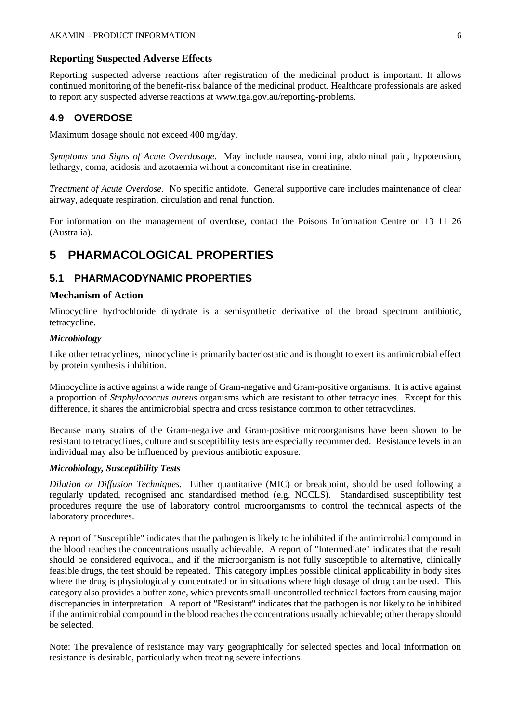#### **Reporting Suspected Adverse Effects**

Reporting suspected adverse reactions after registration of the medicinal product is important. It allows continued monitoring of the benefit-risk balance of the medicinal product. Healthcare professionals are asked to report any suspected adverse reactions at [www.tga.gov.au/reporting-problems.](http://www.tga.gov.au/reporting-problems)

### **4.9 OVERDOSE**

Maximum dosage should not exceed 400 mg/day.

*Symptoms and Signs of Acute Overdosage.* May include nausea, vomiting, abdominal pain, hypotension, lethargy, coma, acidosis and azotaemia without a concomitant rise in creatinine.

*Treatment of Acute Overdose.* No specific antidote. General supportive care includes maintenance of clear airway, adequate respiration, circulation and renal function.

For information on the management of overdose, contact the Poisons Information Centre on 13 11 26 (Australia).

# **5 PHARMACOLOGICAL PROPERTIES**

### **5.1 PHARMACODYNAMIC PROPERTIES**

#### **Mechanism of Action**

Minocycline hydrochloride dihydrate is a semisynthetic derivative of the broad spectrum antibiotic, tetracycline.

#### *Microbiology*

Like other tetracyclines, minocycline is primarily bacteriostatic and is thought to exert its antimicrobial effect by protein synthesis inhibition.

Minocycline is active against a wide range of Gram-negative and Gram-positive organisms. It is active against a proportion of *Staphylococcus aureus* organisms which are resistant to other tetracyclines. Except for this difference, it shares the antimicrobial spectra and cross resistance common to other tetracyclines.

Because many strains of the Gram-negative and Gram-positive microorganisms have been shown to be resistant to tetracyclines, culture and susceptibility tests are especially recommended. Resistance levels in an individual may also be influenced by previous antibiotic exposure.

#### *Microbiology, Susceptibility Tests*

*Dilution or Diffusion Techniques.* Either quantitative (MIC) or breakpoint, should be used following a regularly updated, recognised and standardised method (e.g. NCCLS). Standardised susceptibility test procedures require the use of laboratory control microorganisms to control the technical aspects of the laboratory procedures.

A report of "Susceptible" indicates that the pathogen is likely to be inhibited if the antimicrobial compound in the blood reaches the concentrations usually achievable. A report of "Intermediate" indicates that the result should be considered equivocal, and if the microorganism is not fully susceptible to alternative, clinically feasible drugs, the test should be repeated. This category implies possible clinical applicability in body sites where the drug is physiologically concentrated or in situations where high dosage of drug can be used. This category also provides a buffer zone, which prevents small-uncontrolled technical factors from causing major discrepancies in interpretation. A report of "Resistant" indicates that the pathogen is not likely to be inhibited if the antimicrobial compound in the blood reaches the concentrations usually achievable; other therapy should be selected.

Note: The prevalence of resistance may vary geographically for selected species and local information on resistance is desirable, particularly when treating severe infections.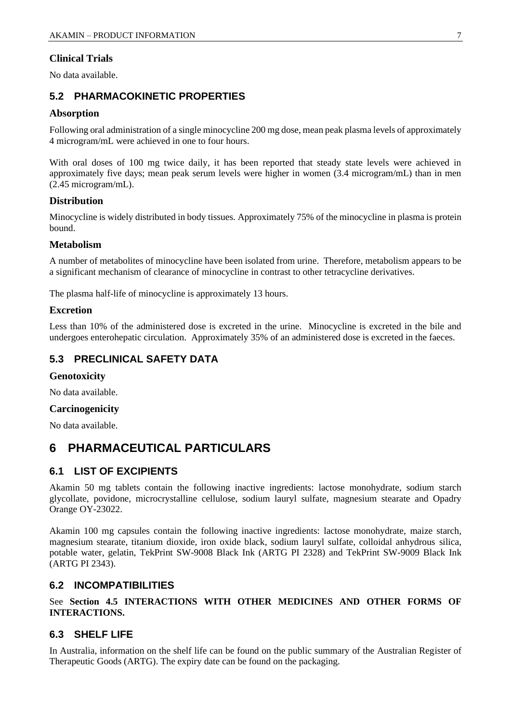#### **Clinical Trials**

No data available.

### **5.2 PHARMACOKINETIC PROPERTIES**

#### **Absorption**

Following oral administration of a single minocycline 200 mg dose, mean peak plasma levels of approximately 4 microgram/mL were achieved in one to four hours.

With oral doses of 100 mg twice daily, it has been reported that steady state levels were achieved in approximately five days; mean peak serum levels were higher in women (3.4 microgram/mL) than in men (2.45 microgram/mL).

#### **Distribution**

Minocycline is widely distributed in body tissues. Approximately 75% of the minocycline in plasma is protein bound.

#### **Metabolism**

A number of metabolites of minocycline have been isolated from urine. Therefore, metabolism appears to be a significant mechanism of clearance of minocycline in contrast to other tetracycline derivatives.

The plasma half-life of minocycline is approximately 13 hours.

#### **Excretion**

Less than 10% of the administered dose is excreted in the urine. Minocycline is excreted in the bile and undergoes enterohepatic circulation. Approximately 35% of an administered dose is excreted in the faeces.

### **5.3 PRECLINICAL SAFETY DATA**

#### **Genotoxicity**

No data available.

#### **Carcinogenicity**

No data available.

# **6 PHARMACEUTICAL PARTICULARS**

#### **6.1 LIST OF EXCIPIENTS**

Akamin 50 mg tablets contain the following inactive ingredients: lactose monohydrate, sodium starch glycollate, povidone, microcrystalline cellulose, sodium lauryl sulfate, magnesium stearate and Opadry Orange OY-23022.

Akamin 100 mg capsules contain the following inactive ingredients: lactose monohydrate, maize starch, magnesium stearate, titanium dioxide, iron oxide black, sodium lauryl sulfate, colloidal anhydrous silica, potable water, gelatin, TekPrint SW-9008 Black Ink (ARTG PI 2328) and TekPrint SW-9009 Black Ink (ARTG PI 2343).

#### **6.2 INCOMPATIBILITIES**

See **Section 4.5 INTERACTIONS WITH OTHER MEDICINES AND OTHER FORMS OF INTERACTIONS.**

#### **6.3 SHELF LIFE**

In Australia, information on the shelf life can be found on the public summary of the Australian Register of Therapeutic Goods (ARTG). The expiry date can be found on the packaging.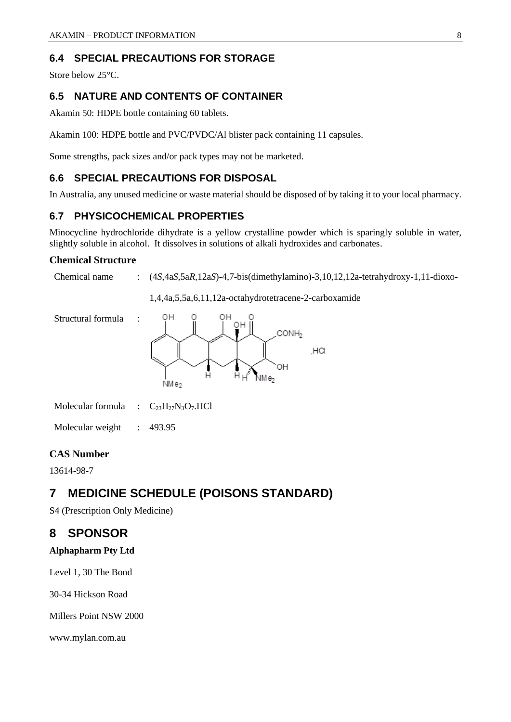### **6.4 SPECIAL PRECAUTIONS FOR STORAGE**

Store below 25°C.

### **6.5 NATURE AND CONTENTS OF CONTAINER**

Akamin 50: HDPE bottle containing 60 tablets.

Akamin 100: HDPE bottle and PVC/PVDC/Al blister pack containing 11 capsules.

Some strengths, pack sizes and/or pack types may not be marketed.

### **6.6 SPECIAL PRECAUTIONS FOR DISPOSAL**

In Australia, any unused medicine or waste material should be disposed of by taking it to your local pharmacy.

### **6.7 PHYSICOCHEMICAL PROPERTIES**

Minocycline hydrochloride dihydrate is a yellow crystalline powder which is sparingly soluble in water, slightly soluble in alcohol. It dissolves in solutions of alkali hydroxides and carbonates.

#### **Chemical Structure**

Chemical name : (4*S*,4a*S*,5a*R*,12a*S*)-4,7-bis(dimethylamino)-3,10,12,12a-tetrahydroxy-1,11-dioxo-

1,4,4a,5,5a,6,11,12a-octahydrotetracene-2-carboxamide





Molecular formula :  $C_{23}H_{27}N_3O_7.HCl$ 

Molecular weight : 493.95

#### **CAS Number**

13614-98-7

# **7 MEDICINE SCHEDULE (POISONS STANDARD)**

S4 (Prescription Only Medicine)

# **8 SPONSOR**

#### **Alphapharm Pty Ltd**

Level 1, 30 The Bond

30-34 Hickson Road

Millers Point NSW 2000

www.mylan.com.au